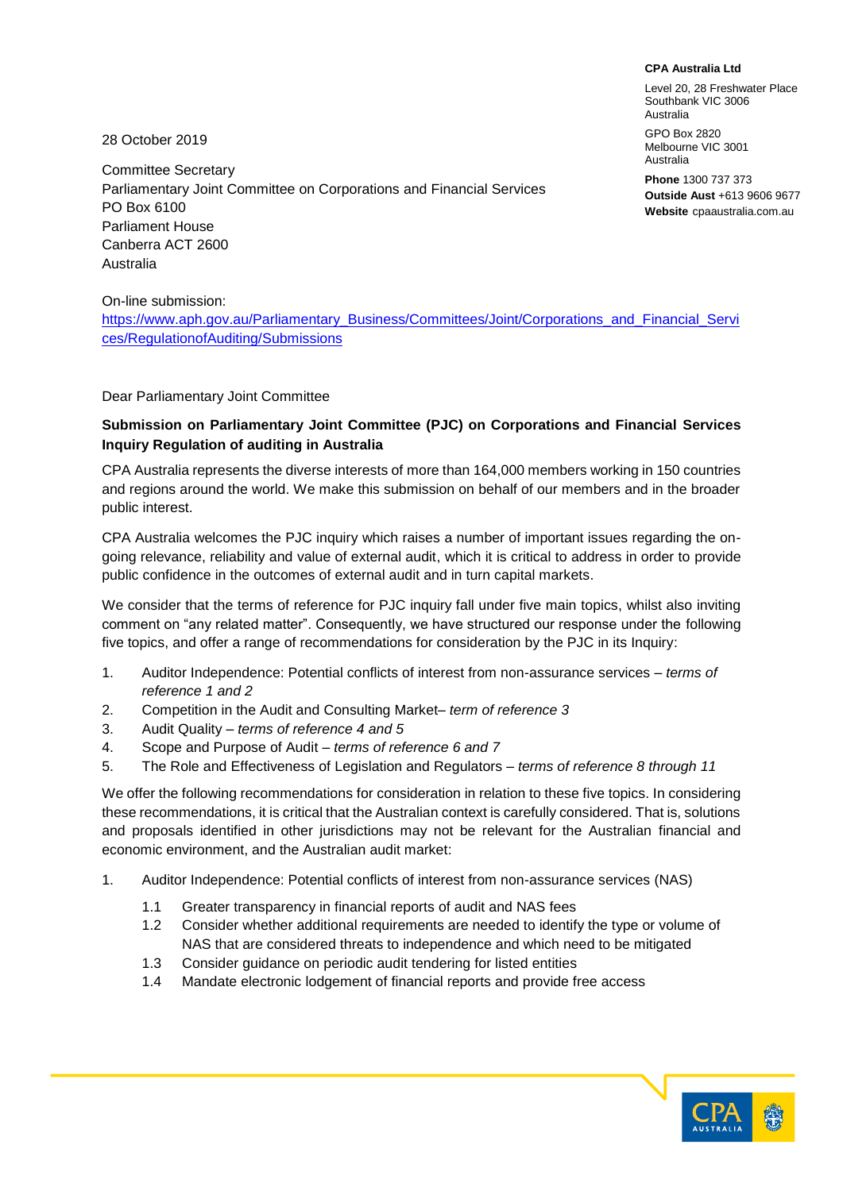**CPA Australia Ltd**

Level 20, 28 Freshwater Place Southbank VIC 3006 Australia

GPO Box 2820 Melbourne VIC 3001 Australia

**Phone** 1300 737 373 **Outside Aust** +613 9606 9677 **Website** cpaaustralia.com.au

28 October 2019

Committee Secretary Parliamentary Joint Committee on Corporations and Financial Services PO Box 6100 Parliament House Canberra ACT 2600 Australia

On-line submission:

https://www.aph.gov.au/Parliamentary\_Business/Committees/Joint/Corporations\_and\_Financial\_Servi ces/RegulationofAuditing/Submissions

### Dear Parliamentary Joint Committee

## **Submission on Parliamentary Joint Committee (PJC) on Corporations and Financial Services Inquiry Regulation of auditing in Australia**

CPA Australia represents the diverse interests of more than 164,000 members working in 150 countries and regions around the world. We make this submission on behalf of our members and in the broader public interest.

CPA Australia welcomes the PJC inquiry which raises a number of important issues regarding the ongoing relevance, reliability and value of external audit, which it is critical to address in order to provide public confidence in the outcomes of external audit and in turn capital markets.

We consider that the terms of reference for PJC inquiry fall under five main topics, whilst also inviting comment on "any related matter". Consequently, we have structured our response under the following five topics, and offer a range of recommendations for consideration by the PJC in its Inquiry:

- 1. Auditor Independence: Potential conflicts of interest from non-assurance services *– terms of reference 1 and 2*
- 2. Competition in the Audit and Consulting Market*– term of reference 3*
- 3. Audit Quality *– terms of reference 4 and 5*
- 4. Scope and Purpose of Audit *– terms of reference 6 and 7*
- 5. The Role and Effectiveness of Legislation and Regulators *– terms of reference 8 through 11*

We offer the following recommendations for consideration in relation to these five topics. In considering these recommendations, it is critical that the Australian context is carefully considered. That is, solutions and proposals identified in other jurisdictions may not be relevant for the Australian financial and economic environment, and the Australian audit market:

- 1. Auditor Independence: Potential conflicts of interest from non-assurance services (NAS)
	- 1.1 Greater transparency in financial reports of audit and NAS fees
	- 1.2 Consider whether additional requirements are needed to identify the type or volume of NAS that are considered threats to independence and which need to be mitigated
	- 1.3 Consider guidance on periodic audit tendering for listed entities
	- 1.4 Mandate electronic lodgement of financial reports and provide free access

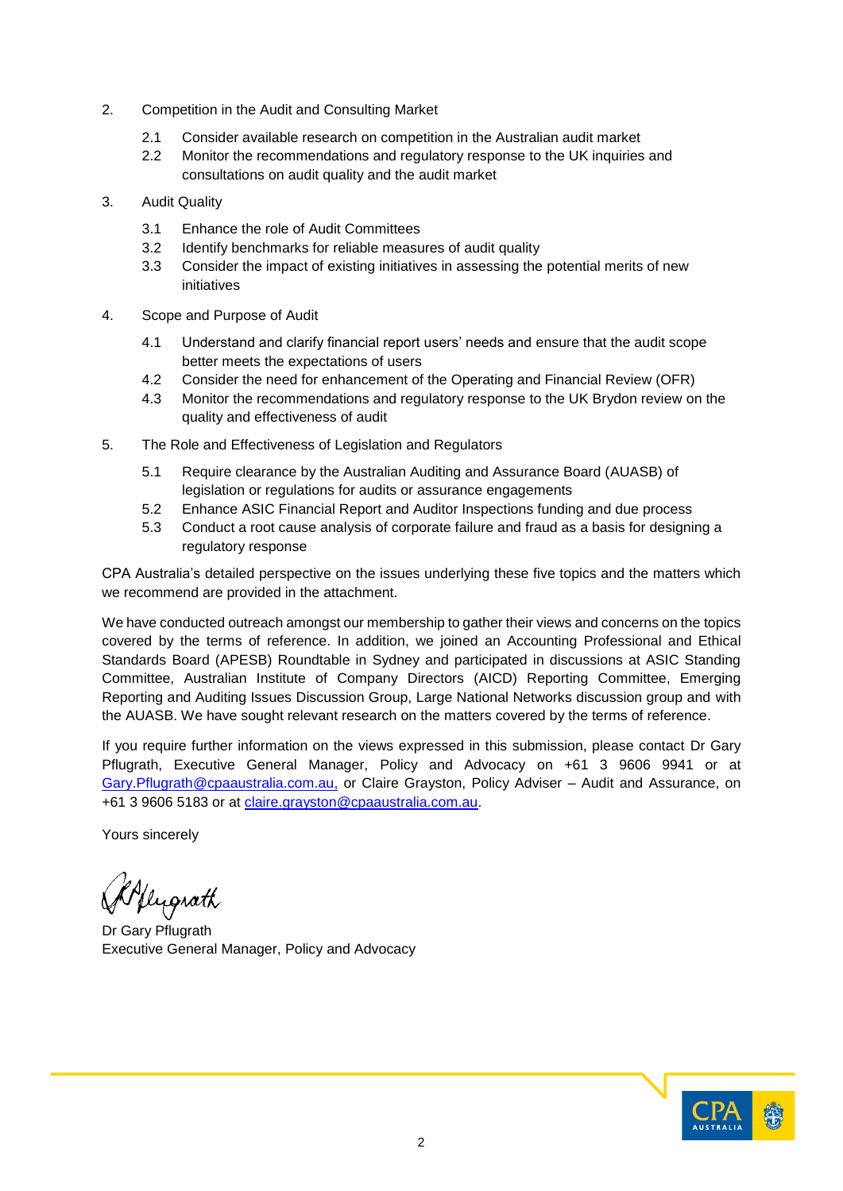- 2. Competition in the Audit and Consulting Market
	- 2.1 Consider available research on competition in the Australian audit market
	- 2.2 Monitor the recommendations and regulatory response to the UK inquiries and consultations on audit quality and the audit market
- 3. Audit Quality
	- 3.1 Enhance the role of Audit Committees
	- 3.2 Identify benchmarks for reliable measures of audit quality
	- 3.3 Consider the impact of existing initiatives in assessing the potential merits of new initiatives
- 4. Scope and Purpose of Audit
	- 4.1 Understand and clarify financial report users' needs and ensure that the audit scope better meets the expectations of users
	- 4.2 Consider the need for enhancement of the Operating and Financial Review (OFR)
	- 4.3 Monitor the recommendations and regulatory response to the UK Brydon review on the quality and effectiveness of audit
- 5. The Role and Effectiveness of Legislation and Regulators
	- 5.1 Require clearance by the Australian Auditing and Assurance Board (AUASB) of legislation or regulations for audits or assurance engagements
	- 5.2 Enhance ASIC Financial Report and Auditor Inspections funding and due process
	- 5.3 Conduct a root cause analysis of corporate failure and fraud as a basis for designing a regulatory response

CPA Australia's detailed perspective on the issues underlying these five topics and the matters which we recommend are provided in the attachment.

We have conducted outreach amongst our membership to gather their views and concerns on the topics covered by the terms of reference. In addition, we joined an Accounting Professional and Ethical Standards Board (APESB) Roundtable in Sydney and participated in discussions at ASIC Standing Committee, Australian Institute of Company Directors (AICD) Reporting Committee, Emerging Reporting and Auditing Issues Discussion Group, Large National Networks discussion group and with the AUASB. We have sought relevant research on the matters covered by the terms of reference.

If you require further information on the views expressed in this submission, please contact Dr Gary Pflugrath, Executive General Manager, Policy and Advocacy on +61 3 9606 9941 or at [Gary.Pflugrath@cpaaustralia.com.au,](mailto:Gary.Pflugrath@cpaaustralia.com.au) or Claire Grayston, Policy Adviser – Audit and Assurance, on +61 3 9606 5183 or at [claire.grayston@cpaaustralia.com.au.](mailto:claire.grayston@cpaaustralia.com.au)

Yours sincerely

Kflugrath

Dr Gary Pflugrath Executive General Manager, Policy and Advocacy

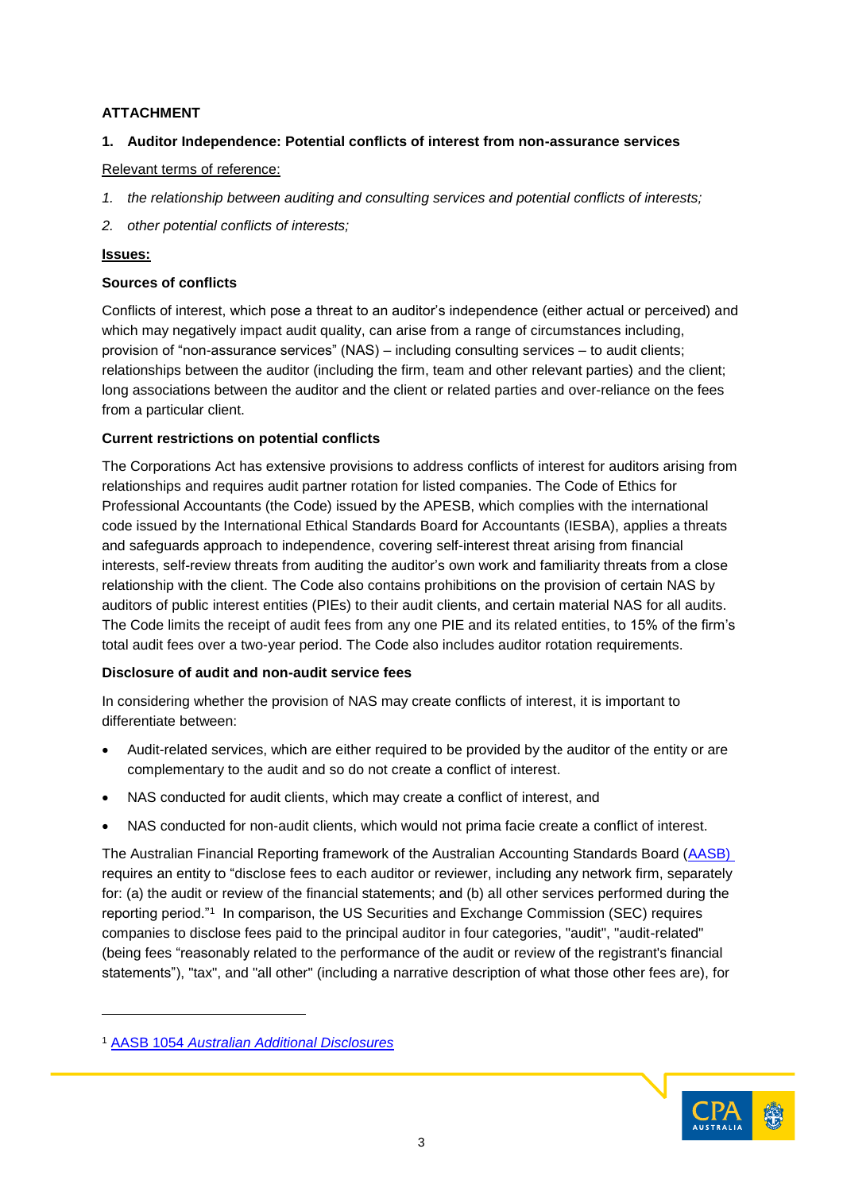# **ATTACHMENT**

# **1. Auditor Independence: Potential conflicts of interest from non-assurance services**

### Relevant terms of reference:

- *1. the relationship between auditing and consulting services and potential conflicts of interests;*
- *2. other potential conflicts of interests;*

### **Issues:**

### **Sources of conflicts**

Conflicts of interest, which pose a threat to an auditor's independence (either actual or perceived) and which may negatively impact audit quality, can arise from a range of circumstances including, provision of "non-assurance services" (NAS) – including consulting services – to audit clients; relationships between the auditor (including the firm, team and other relevant parties) and the client; long associations between the auditor and the client or related parties and over-reliance on the fees from a particular client.

## **Current restrictions on potential conflicts**

The Corporations Act has extensive provisions to address conflicts of interest for auditors arising from relationships and requires audit partner rotation for listed companies. The Code of Ethics for Professional Accountants (the Code) issued by the APESB, which complies with the international code issued by the International Ethical Standards Board for Accountants (IESBA), applies a threats and safeguards approach to independence, covering self-interest threat arising from financial interests, self-review threats from auditing the auditor's own work and familiarity threats from a close relationship with the client. The Code also contains prohibitions on the provision of certain NAS by auditors of public interest entities (PIEs) to their audit clients, and certain material NAS for all audits. The Code limits the receipt of audit fees from any one PIE and its related entities, to 15% of the firm's total audit fees over a two-year period. The Code also includes auditor rotation requirements.

## **Disclosure of audit and non-audit service fees**

In considering whether the provision of NAS may create conflicts of interest, it is important to differentiate between:

- Audit-related services, which are either required to be provided by the auditor of the entity or are complementary to the audit and so do not create a conflict of interest.
- NAS conducted for audit clients, which may create a conflict of interest, and
- NAS conducted for non-audit clients, which would not prima facie create a conflict of interest.

The Australian Financial Reporting framework of the Australian Accounting Standards Board [\(AASB\)](https://www.aasb.gov.au/admin/file/content105/c9/AASB1054_05-11.pdf) requires an entity to "disclose fees to each auditor or reviewer, including any network firm, separately for: (a) the audit or review of the financial statements; and (b) all other services performed during the reporting period."<sup>1</sup> In comparison, the [US Securities and Exchange Commission \(SEC\)](https://www.sec.gov/info/accountants/ocafaqaudind080703.htm#feedisc) requires companies to disclose fees paid to the principal auditor in four categories, "audit", "audit-related" (being fees "reasonably related to the performance of the audit or review of the registrant's financial statements"), "tax", and "all other" (including a narrative description of what those other fees are), for

l



<sup>1</sup> AASB 1054 *[Australian Additional Disclosures](https://www.aasb.gov.au/admin/file/content105/c9/AASB1054_05-11.pdf)*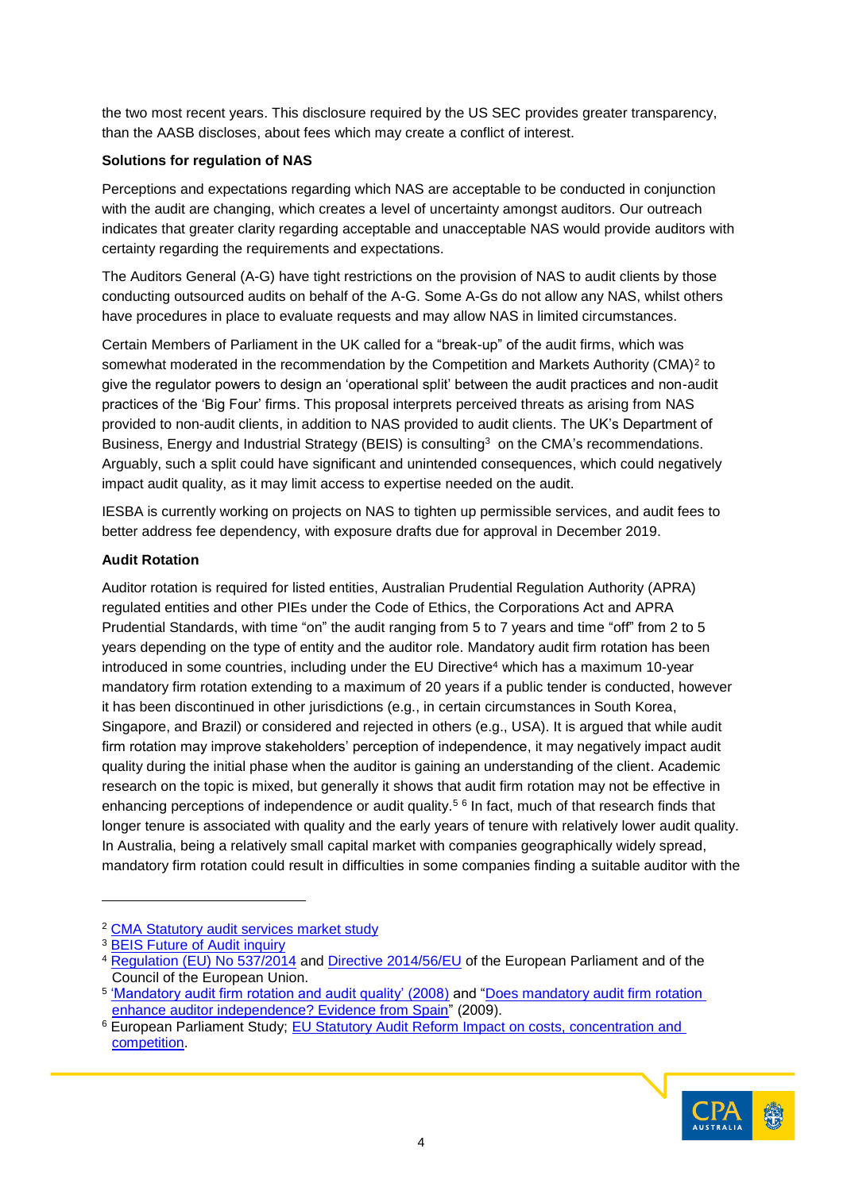the two most recent years. This disclosure required by the US SEC provides greater transparency, than the AASB discloses, about fees which may create a conflict of interest.

### **Solutions for regulation of NAS**

Perceptions and expectations regarding which NAS are acceptable to be conducted in conjunction with the audit are changing, which creates a level of uncertainty amongst auditors. Our outreach indicates that greater clarity regarding acceptable and unacceptable NAS would provide auditors with certainty regarding the requirements and expectations.

The Auditors General (A-G) have tight restrictions on the provision of NAS to audit clients by those conducting outsourced audits on behalf of the A-G. Some A-Gs do not allow any NAS, whilst others have procedures in place to evaluate requests and may allow NAS in limited circumstances.

Certain Members of Parliament in the UK called for a "break-up" of the audit firms, which was somewhat moderated in the recommendation by the Competition and Markets Authority (CMA)<sup>2</sup> to give the regulator powers to design an 'operational split' between the audit practices and non-audit practices of the 'Big Four' firms. This proposal interprets perceived threats as arising from NAS provided to non-audit clients, in addition to NAS provided to audit clients. The UK's Department of Business, Energy and Industrial Strategy (BEIS) is consulting<sup>3</sup> on the CMA's recommendations. Arguably, such a split could have significant and unintended consequences, which could negatively impact audit quality, as it may limit access to expertise needed on the audit.

IESBA is currently working on projects on NAS to tighten up permissible services, and audit fees to better address fee dependency, with exposure drafts due for approval in December 2019.

### **Audit Rotation**

Auditor rotation is required for listed entities, Australian Prudential Regulation Authority (APRA) regulated entities and other PIEs under the Code of Ethics, the Corporations Act and APRA Prudential Standards, with time "on" the audit ranging from 5 to 7 years and time "off" from 2 to 5 years depending on the type of entity and the auditor role. Mandatory audit firm rotation has been  $introduced$  in some countries, including under the EU Directive<sup>4</sup> which has a maximum 10-year mandatory firm rotation extending to a maximum of 20 years if a public tender is conducted, however it has been discontinued in other jurisdictions (e.g., in certain circumstances in South Korea, Singapore, and Brazil) or considered and rejected in others (e.g., USA). It is argued that while audit firm rotation may improve stakeholders' perception of independence, it may negatively impact audit quality during the initial phase when the auditor is gaining an understanding of the client. Academic research on the topic is mixed, but generally it shows that audit firm rotation may not be effective in enhancing perceptions of independence or audit quality.<sup>56</sup> In fact, much of that research finds that longer tenure is associated with quality and the early years of tenure with relatively lower audit quality. In Australia, being a relatively small capital market with companies geographically widely spread, mandatory firm rotation could result in difficulties in some companies finding a suitable auditor with the

l

<sup>6</sup> European Parliament Study; [EU Statutory Audit Reform Impact on costs, concentration and](http://www.europarl.europa.eu/RegData/etudes/STUD/2019/631057/IPOL_STU(2019)631057_EN.pdf)  [competition.](http://www.europarl.europa.eu/RegData/etudes/STUD/2019/631057/IPOL_STU(2019)631057_EN.pdf)



<sup>2</sup> [CMA Statutory audit services market study](https://assets.publishing.service.gov.uk/media/5cb7855d40f0b649e47f2972/CMA_final_audit_market_report.pdf)

<sup>3</sup> [BEIS Future of Audit inquiry](https://www.parliament.uk/business/committees/committees-a-z/commons-select/business-energy-industrial-strategy/inquiries/parliament-2017/future-of-audit-17-19/publications/)

<sup>4</sup> [Regulation \(EU\) No 537/2014](http://eur-lex.europa.eu/legal-content/EN/TXT/PDF/?uri=OJ:L:2014:158:FULL#page=79) and [Directive 2014/56/EU](http://eur-lex.europa.eu/legal-content/EN/TXT/PDF/?uri=OJ:L:2014:158:FULL#page=198) of the European Parliament and of the Council of the European Union.

<sup>&</sup>lt;sup>5</sup> <u>['Mandatory audit firm rotation and audit quality' \(2008\)](http://doi.org/10.1108/02686900810875271)</u> and "<u>Does mandatory audit firm rotation</u> [enhance auditor independence? Evidence from Spain"](http://doi.org/10.2308/aud.2009.28.1.113) (2009).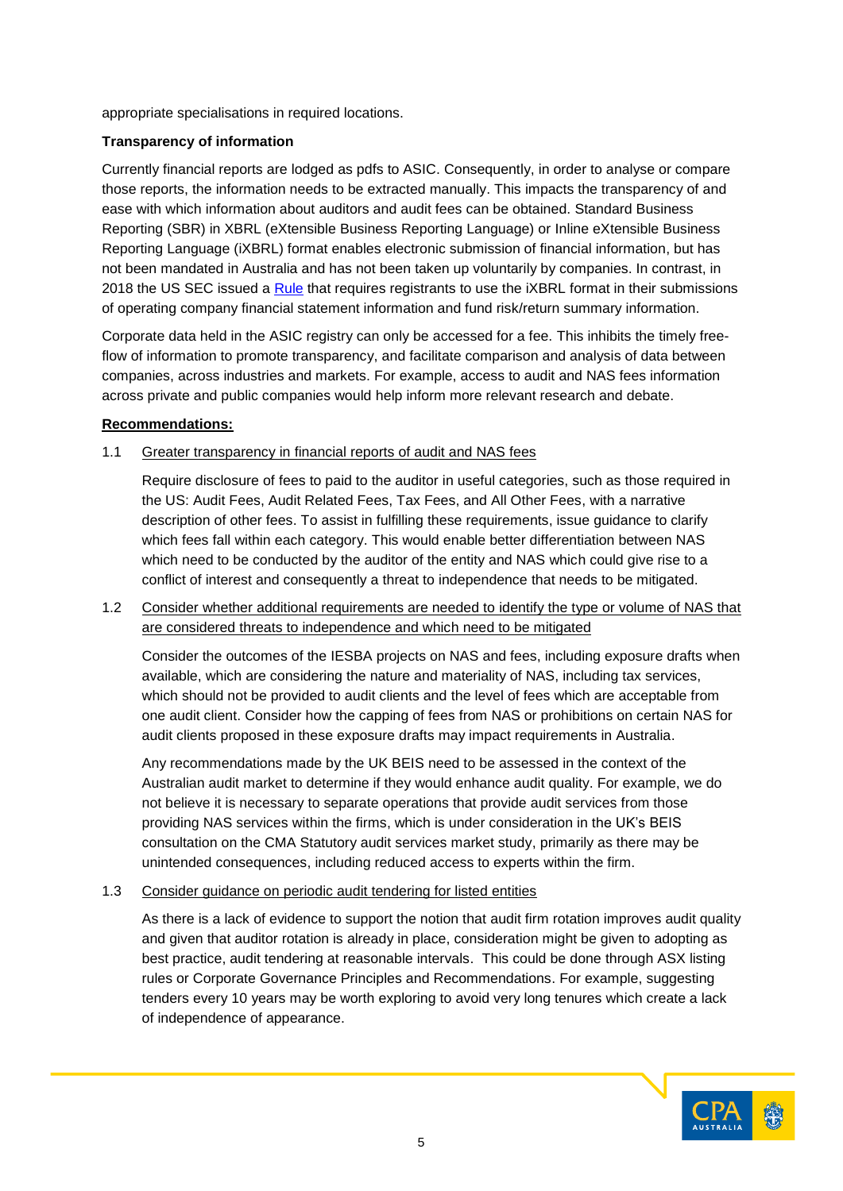appropriate specialisations in required locations.

# **Transparency of information**

Currently financial reports are lodged as pdfs to ASIC. Consequently, in order to analyse or compare those reports, the information needs to be extracted manually. This impacts the transparency of and ease with which information about auditors and audit fees can be obtained. Standard Business Reporting (SBR) in XBRL (eXtensible Business Reporting Language) or Inline eXtensible Business Reporting Language (iXBRL) format enables electronic submission of financial information, but has not been mandated in Australia and has not been taken up voluntarily by companies. In contrast, in 2018 the US SEC issued a [Rule](https://www.sec.gov/rules/final/2018/33-10514.pdf) that requires registrants to use the *iXBRL* format in their submissions of operating company financial statement information and fund risk/return summary information.

Corporate data held in the ASIC registry can only be accessed for a fee. This inhibits the timely freeflow of information to promote transparency, and facilitate comparison and analysis of data between companies, across industries and markets. For example, access to audit and NAS fees information across private and public companies would help inform more relevant research and debate.

## **Recommendations:**

1.1 Greater transparency in financial reports of audit and NAS fees

Require disclosure of fees to paid to the auditor in useful categories, such as those required in the US: Audit Fees, Audit Related Fees, Tax Fees, and All Other Fees, with a narrative description of other fees. To assist in fulfilling these requirements, issue guidance to clarify which fees fall within each category. This would enable better differentiation between NAS which need to be conducted by the auditor of the entity and NAS which could give rise to a conflict of interest and consequently a threat to independence that needs to be mitigated.

1.2 Consider whether additional requirements are needed to identify the type or volume of NAS that are considered threats to independence and which need to be mitigated

Consider the outcomes of the IESBA projects on NAS and fees, including exposure drafts when available, which are considering the nature and materiality of NAS, including tax services, which should not be provided to audit clients and the level of fees which are acceptable from one audit client. Consider how the capping of fees from NAS or prohibitions on certain NAS for audit clients proposed in these exposure drafts may impact requirements in Australia.

Any recommendations made by the UK BEIS need to be assessed in the context of the Australian audit market to determine if they would enhance audit quality. For example, we do not believe it is necessary to separate operations that provide audit services from those providing NAS services within the firms, which is under consideration in the UK's BEIS consultation on the CMA Statutory audit services market study, primarily as there may be unintended consequences, including reduced access to experts within the firm.

## 1.3 Consider guidance on periodic audit tendering for listed entities

As there is a lack of evidence to support the notion that audit firm rotation improves audit quality and given that auditor rotation is already in place, consideration might be given to adopting as best practice, audit tendering at reasonable intervals. This could be done through ASX listing rules or Corporate Governance Principles and Recommendations. For example, suggesting tenders every 10 years may be worth exploring to avoid very long tenures which create a lack of independence of appearance.

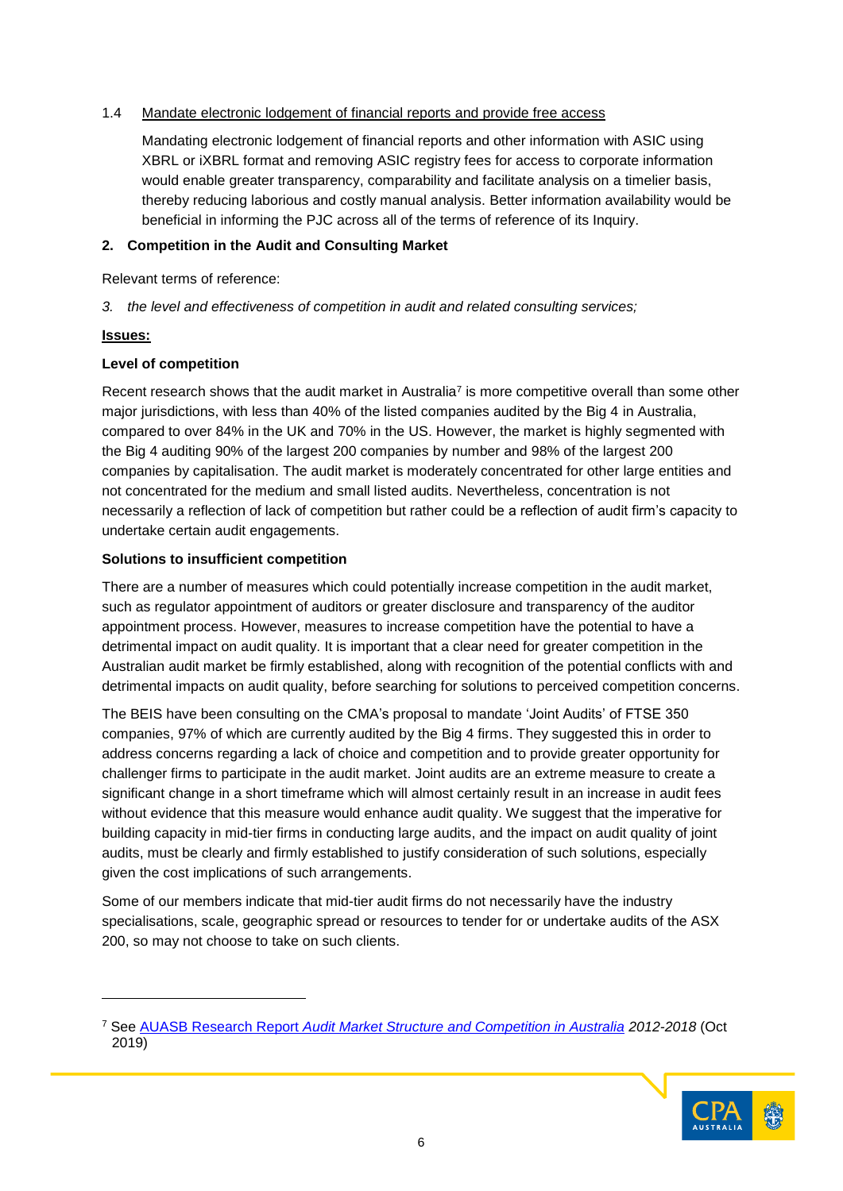### 1.4 Mandate electronic lodgement of financial reports and provide free access

Mandating electronic lodgement of financial reports and other information with ASIC using XBRL or iXBRL format and removing ASIC registry fees for access to corporate information would enable greater transparency, comparability and facilitate analysis on a timelier basis, thereby reducing laborious and costly manual analysis. Better information availability would be beneficial in informing the PJC across all of the terms of reference of its Inquiry.

### **2. Competition in the Audit and Consulting Market**

Relevant terms of reference:

*3. the level and effectiveness of competition in audit and related consulting services;*

### **Issues:**

l

## **Level of competition**

Recent research shows that the audit market in Australia<sup>7</sup> is more competitive overall than some other major jurisdictions, with less than 40% of the listed companies audited by the Big 4 in Australia, compared to over 84% in the UK and 70% in the US. However, the market is highly segmented with the Big 4 auditing 90% of the largest 200 companies by number and 98% of the largest 200 companies by capitalisation. The audit market is moderately concentrated for other large entities and not concentrated for the medium and small listed audits. Nevertheless, concentration is not necessarily a reflection of lack of competition but rather could be a reflection of audit firm's capacity to undertake certain audit engagements.

## **Solutions to insufficient competition**

There are a number of measures which could potentially increase competition in the audit market, such as regulator appointment of auditors or greater disclosure and transparency of the auditor appointment process. However, measures to increase competition have the potential to have a detrimental impact on audit quality. It is important that a clear need for greater competition in the Australian audit market be firmly established, along with recognition of the potential conflicts with and detrimental impacts on audit quality, before searching for solutions to perceived competition concerns.

The BEIS have been consulting on the CMA's proposal to mandate 'Joint Audits' of FTSE 350 companies, 97% of which are currently audited by the Big 4 firms. They suggested this in order to address concerns regarding a lack of choice and competition and to provide greater opportunity for challenger firms to participate in the audit market. Joint audits are an extreme measure to create a significant change in a short timeframe which will almost certainly result in an increase in audit fees without evidence that this measure would enhance audit quality. We suggest that the imperative for building capacity in mid-tier firms in conducting large audits, and the impact on audit quality of joint audits, must be clearly and firmly established to justify consideration of such solutions, especially given the cost implications of such arrangements.

Some of our members indicate that mid-tier audit firms do not necessarily have the industry specialisations, scale, geographic spread or resources to tender for or undertake audits of the ASX 200, so may not choose to take on such clients.

<sup>7</sup> See AUASB Research Report *[Audit Market Structure and Competition in Australia](https://www.auasb.gov.au/admin/file/content102/c3/AUASB_ResearchReport_October.pdf) 2012-2018* (Oct 2019)

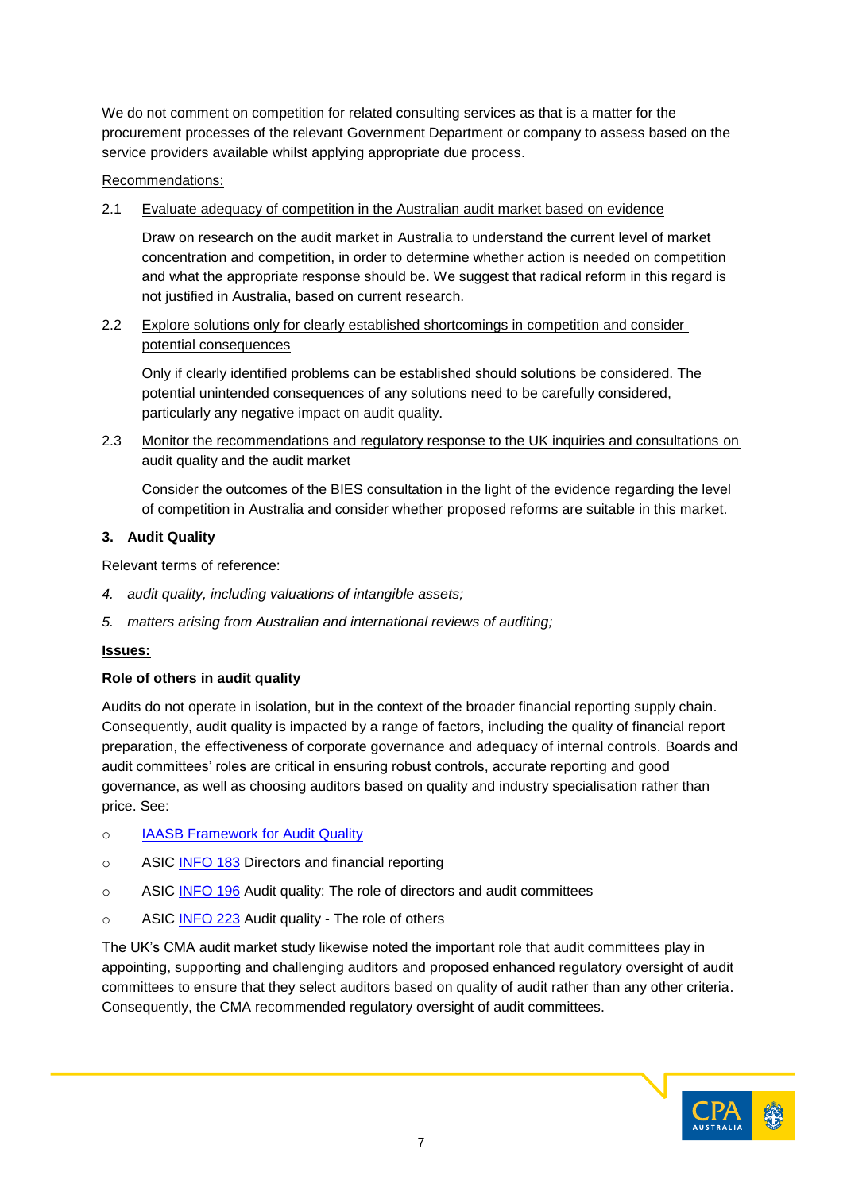We do not comment on competition for related consulting services as that is a matter for the procurement processes of the relevant Government Department or company to assess based on the service providers available whilst applying appropriate due process.

### Recommendations:

2.1 Evaluate adequacy of competition in the Australian audit market based on evidence

Draw on research on the audit market in Australia to understand the current level of market concentration and competition, in order to determine whether action is needed on competition and what the appropriate response should be. We suggest that radical reform in this regard is not justified in Australia, based on current research.

2.2 Explore solutions only for clearly established shortcomings in competition and consider potential consequences

Only if clearly identified problems can be established should solutions be considered. The potential unintended consequences of any solutions need to be carefully considered, particularly any negative impact on audit quality.

2.3 Monitor the recommendations and regulatory response to the UK inquiries and consultations on audit quality and the audit market

Consider the outcomes of the BIES consultation in the light of the evidence regarding the level of competition in Australia and consider whether proposed reforms are suitable in this market.

### **3. Audit Quality**

Relevant terms of reference:

- *4. audit quality, including valuations of intangible assets;*
- *5. matters arising from Australian and international reviews of auditing;*

## **Issues:**

## **Role of others in audit quality**

Audits do not operate in isolation, but in the context of the broader financial reporting supply chain. Consequently, audit quality is impacted by a range of factors, including the quality of financial report preparation, the effectiveness of corporate governance and adequacy of internal controls. Boards and audit committees' roles are critical in ensuring robust controls, accurate reporting and good governance, as well as choosing auditors based on quality and industry specialisation rather than price. See:

- o IAASB [Framework for Audit Quality](https://www.ifac.org/system/files/publications/files/A-Framework-for-Audit-Quality-Key-Elements-that-Create-an-Environment-for-Audit-Quality-2.pdf)
- o ASIC [INFO](https://asic.gov.au/regulatory-resources/financial-reporting-and-audit/directors-and-financial-reporting/) 183 Directors and financial reporting
- o ASIC [INFO 196](https://asic.gov.au/regulatory-resources/financial-reporting-and-audit/auditors/audit-quality-the-role-of-directors-and-audit-committees/) Audit quality: The role of directors and audit committees
- o ASIC [INFO 223](https://asic.gov.au/regulatory-resources/financial-reporting-and-audit/auditors/audit-quality-the-role-of-others/) Audit quality The role of others

The UK's CMA audit market study likewise noted the important role that audit committees play in appointing, supporting and challenging auditors and proposed enhanced regulatory oversight of audit committees to ensure that they select auditors based on quality of audit rather than any other criteria. Consequently, the CMA recommended regulatory oversight of audit committees.

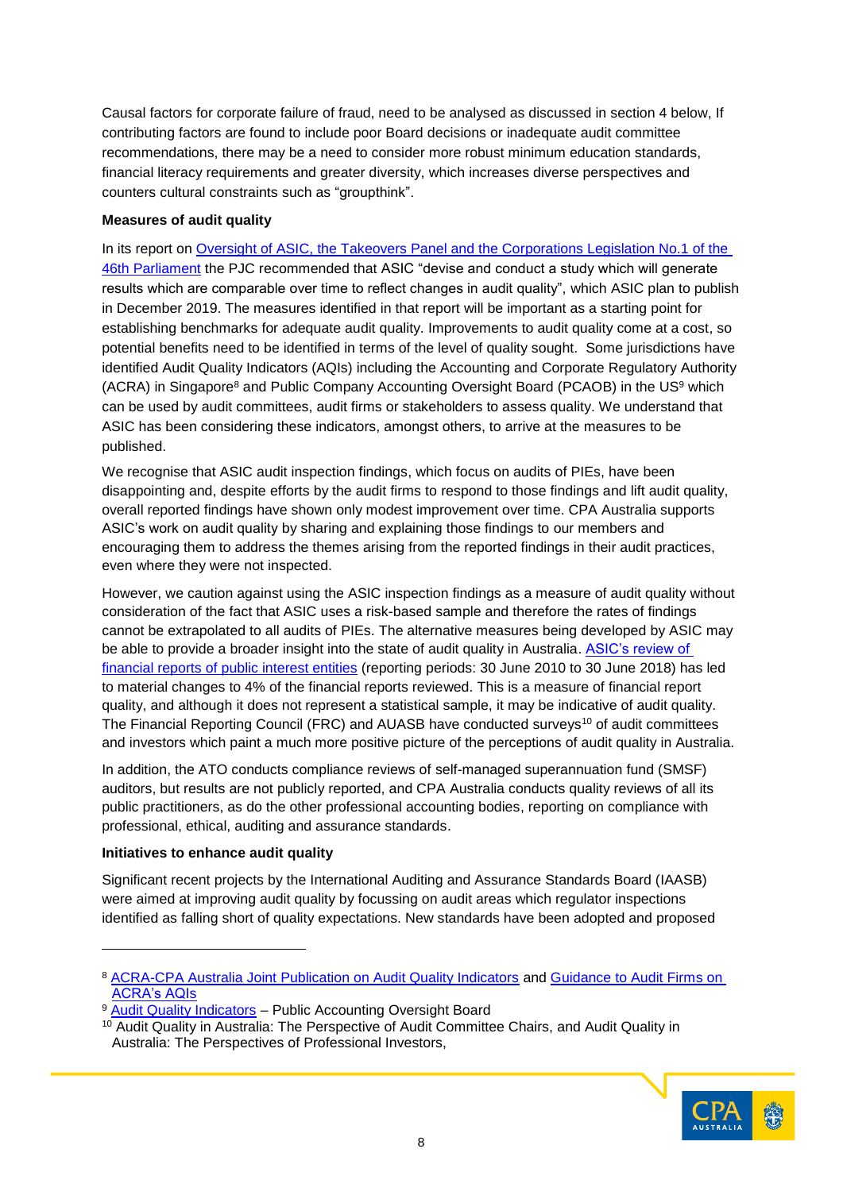Causal factors for corporate failure of fraud, need to be analysed as discussed in section 4 below, If contributing factors are found to include poor Board decisions or inadequate audit committee recommendations, there may be a need to consider more robust minimum education standards, financial literacy requirements and greater diversity, which increases diverse perspectives and counters cultural constraints such as "groupthink".

### **Measures of audit quality**

In its report on [Oversight of ASIC, the Takeovers Panel and the Corporations Legislation No.1 of the](https://www.aph.gov.au/Parliamentary_Business/Committees/Joint/Corporations_and_Financial_Services/No1of45thParliament/~/media/Committees/corporations_ctte/No1of45thParliament/report.pdf)  [46th Parliament](https://www.aph.gov.au/Parliamentary_Business/Committees/Joint/Corporations_and_Financial_Services/No1of45thParliament/~/media/Committees/corporations_ctte/No1of45thParliament/report.pdf) the PJC recommended that ASIC "devise and conduct a study which will generate results which are comparable over time to reflect changes in audit quality", which ASIC plan to publish in December 2019. The measures identified in that report will be important as a starting point for establishing benchmarks for adequate audit quality. Improvements to audit quality come at a cost, so potential benefits need to be identified in terms of the level of quality sought. Some jurisdictions have identified Audit Quality Indicators (AQIs) including the Accounting and Corporate Regulatory Authority (ACRA) in Singapore<sup>8</sup> and Public Company Accounting Oversight Board (PCAOB) in the US<sup>9</sup> which can be used by audit committees, audit firms or stakeholders to assess quality. We understand that ASIC has been considering these indicators, amongst others, to arrive at the measures to be published.

We recognise that ASIC audit inspection findings, which focus on audits of PIEs, have been disappointing and, despite efforts by the audit firms to respond to those findings and lift audit quality, overall reported findings have shown only modest improvement over time. CPA Australia supports ASIC's work on audit quality by sharing and explaining those findings to our members and encouraging them to address the themes arising from the reported findings in their audit practices, even where they were not inspected.

However, we caution against using the ASIC inspection findings as a measure of audit quality without consideration of the fact that ASIC uses a risk-based sample and therefore the rates of findings cannot be extrapolated to all audits of PIEs. The alternative measures being developed by ASIC may be able to provide a broader insight into the state of audit quality in Australia. ASIC's review of [financial reports of public interest entities](https://asic.gov.au/about-asic/news-centre/find-a-media-release/2019-releases/19-206mr-findings-from-31-december-2018-financial-reports/) (reporting periods: 30 June 2010 to 30 June 2018) has led to material changes to 4% of the financial reports reviewed. This is a measure of financial report quality, and although it does not represent a statistical sample, it may be indicative of audit quality. The Financial Reporting Council (FRC) and AUASB have conducted surveys<sup>10</sup> of audit committees and investors which paint a much more positive picture of the perceptions of audit quality in Australia.

In addition, the ATO conducts compliance reviews of self-managed superannuation fund (SMSF) auditors, but results are not publicly reported, and CPA Australia conducts quality reviews of all its public practitioners, as do the other professional accounting bodies, reporting on compliance with professional, ethical, auditing and assurance standards.

## **Initiatives to enhance audit quality**

-

Significant recent projects by the International Auditing and Assurance Standards Board (IAASB) were aimed at improving audit quality by focussing on audit areas which regulator inspections identified as falling short of quality expectations. New standards have been adopted and proposed

<sup>&</sup>lt;sup>10</sup> Audit Quality in Australia: The Perspective of Audit Committee Chairs, and Audit Quality in Australia: The Perspectives of Professional Investors,



<sup>8</sup> [ACRA-CPA Australia Joint Publication on Audit Quality Indicators](https://www.gov.uk/government/publications/the-quality-and-effectiveness-of-audit-independent-review#historyhttps://www.acra.gov.sg/docs/default-source/default-document-library/public-accountants/audit-quality-indicators-disclosure-framework/acra-cpaa-joint-publication-on-aqi.pdf) and [Guidance to Audit Firms on](https://www.gov.uk/government/publications/the-quality-and-effectiveness-of-audit-independent-review#historyhttps://www.acra.gov.sg/docs/default-source/default-document-library/public-accountants/audit-quality-indicators-disclosure-framework/acra-cpaa-joint-publication-on-aqi.pdf)  [ACRA's AQIs](https://www.gov.uk/government/publications/the-quality-and-effectiveness-of-audit-independent-review#historyhttps://www.acra.gov.sg/docs/default-source/default-document-library/public-accountants/audit-quality-indicators-disclosure-framework/acra-cpaa-joint-publication-on-aqi.pdf)

<sup>&</sup>lt;sup>9</sup> [Audit Quality Indicators](https://pcaobus.org/EconomicAndRiskAnalysis/ORA/Pages/AQI.aspx) - Public Accounting Oversight Board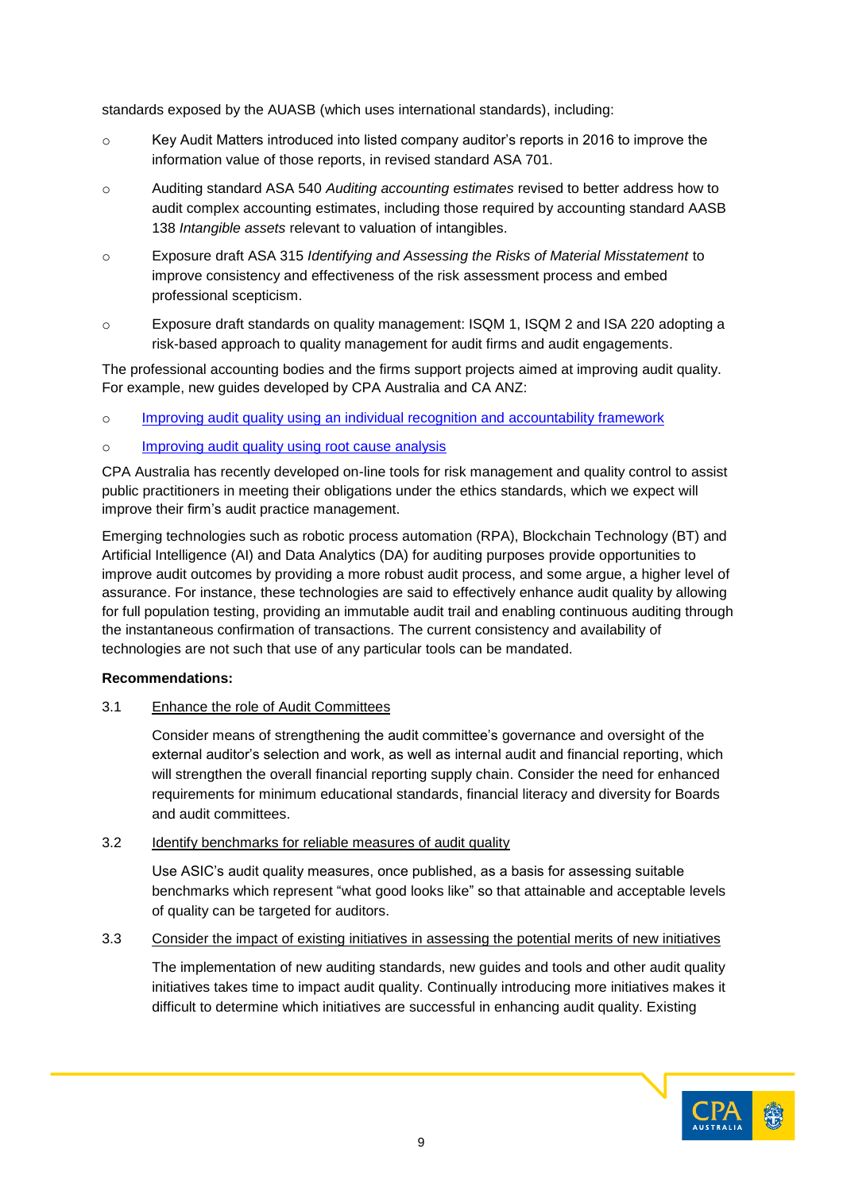standards exposed by the AUASB (which uses international standards), including:

- $\circ$  Key Audit Matters introduced into listed company auditor's reports in 2016 to improve the information value of those reports, in revised standard ASA 701.
- o Auditing standard ASA 540 *Auditing accounting estimates* revised to better address how to audit complex accounting estimates, including those required by accounting standard AASB 138 *Intangible assets* relevant to valuation of intangibles.
- o Exposure draft ASA 315 *Identifying and Assessing the Risks of Material Misstatement* to improve consistency and effectiveness of the risk assessment process and embed professional scepticism.
- o Exposure draft standards on quality management: ISQM 1, ISQM 2 and ISA 220 adopting a risk-based approach to quality management for audit firms and audit engagements.

The professional accounting bodies and the firms support projects aimed at improving audit quality. For example, new guides developed by CPA Australia and CA ANZ:

- o Improving audit quality using an [individual recognition and accountability framework](https://www.cpaaustralia.com.au/-/media/corporate/allfiles/document/professional-resources/auditing-assurance/external-auditors-guide-individual-recognition-accounting-framework.pdf?la=en&rev=9eaac0556e56459f8619a705c924eb33)
- o [Improving audit quality using root cause analysis](https://www.cpaaustralia.com.au/-/media/corporate/allfiles/document/professional-resources/auditing-assurance/external-auditors-guide-root-cause-analysis.pdf?la=en&rev=df308f9741694b1ab2773f28422d0619)

CPA Australia has recently developed on-line tools for risk management and quality control to assist public practitioners in meeting their obligations under the ethics standards, which we expect will improve their firm's audit practice management.

Emerging technologies such as robotic process automation (RPA), Blockchain Technology (BT) and Artificial Intelligence (AI) and Data Analytics (DA) for auditing purposes provide opportunities to improve audit outcomes by providing a more robust audit process, and some argue, a higher level of assurance. For instance, these technologies are said to effectively enhance audit quality by allowing for full population testing, providing an immutable audit trail and enabling continuous auditing through the instantaneous confirmation of transactions. The current consistency and availability of technologies are not such that use of any particular tools can be mandated.

#### **Recommendations:**

## 3.1 Enhance the role of Audit Committees

Consider means of strengthening the audit committee's governance and oversight of the external auditor's selection and work, as well as internal audit and financial reporting, which will strengthen the overall financial reporting supply chain. Consider the need for enhanced requirements for minimum educational standards, financial literacy and diversity for Boards and audit committees.

### 3.2 Identify benchmarks for reliable measures of audit quality

Use ASIC's audit quality measures, once published, as a basis for assessing suitable benchmarks which represent "what good looks like" so that attainable and acceptable levels of quality can be targeted for auditors.

3.3 Consider the impact of existing initiatives in assessing the potential merits of new initiatives

The implementation of new auditing standards, new guides and tools and other audit quality initiatives takes time to impact audit quality. Continually introducing more initiatives makes it difficult to determine which initiatives are successful in enhancing audit quality. Existing

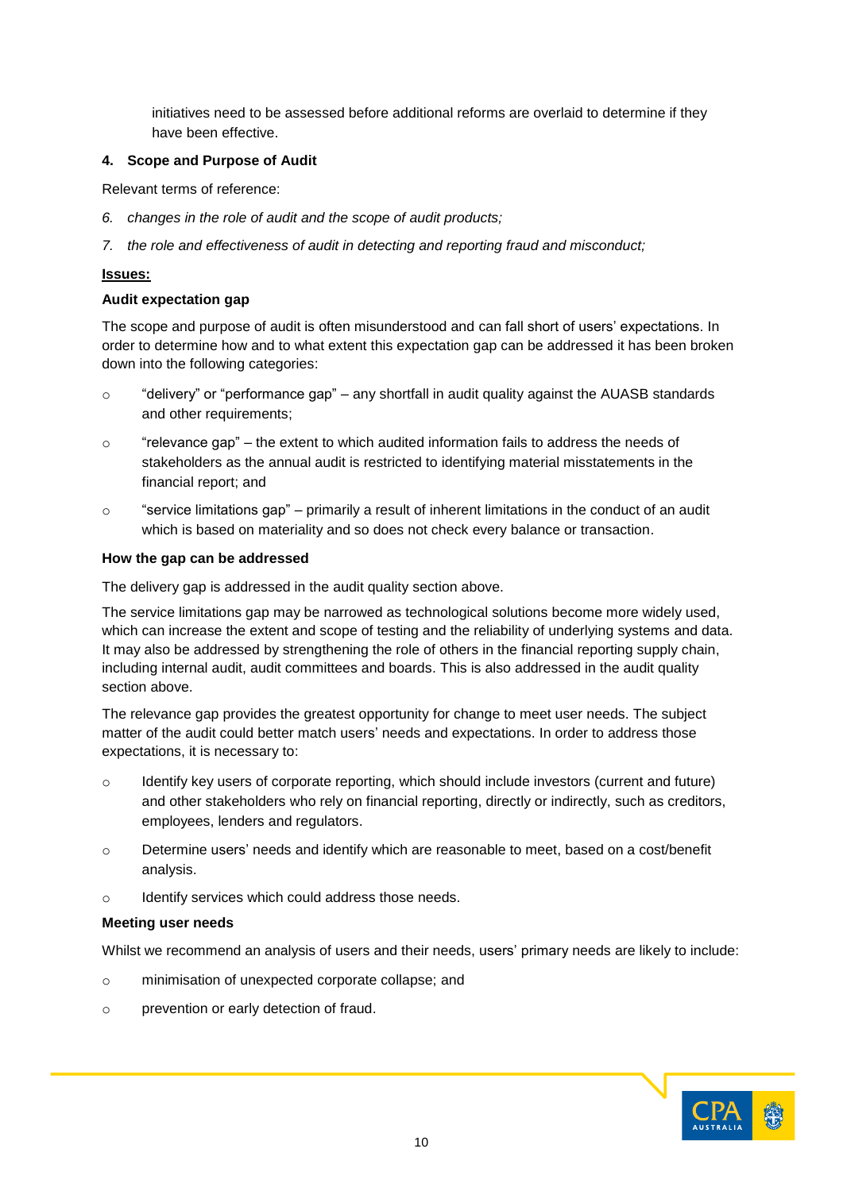initiatives need to be assessed before additional reforms are overlaid to determine if they have been effective.

### **4. Scope and Purpose of Audit**

Relevant terms of reference:

- *6. changes in the role of audit and the scope of audit products;*
- *7. the role and effectiveness of audit in detecting and reporting fraud and misconduct;*

### **Issues:**

#### **Audit expectation gap**

The scope and purpose of audit is often misunderstood and can fall short of users' expectations. In order to determine how and to what extent this expectation gap can be addressed it has been broken down into the following categories:

- $\circ$  "delivery" or "performance gap" any shortfall in audit quality against the AUASB standards and other requirements;
- $\circ$  "relevance gap" the extent to which audited information fails to address the needs of stakeholders as the annual audit is restricted to identifying material misstatements in the financial report; and
- o "service limitations gap" primarily a result of inherent limitations in the conduct of an audit which is based on materiality and so does not check every balance or transaction.

#### **How the gap can be addressed**

The delivery gap is addressed in the audit quality section above.

The service limitations gap may be narrowed as technological solutions become more widely used, which can increase the extent and scope of testing and the reliability of underlying systems and data. It may also be addressed by strengthening the role of others in the financial reporting supply chain, including internal audit, audit committees and boards. This is also addressed in the audit quality section above.

The relevance gap provides the greatest opportunity for change to meet user needs. The subject matter of the audit could better match users' needs and expectations. In order to address those expectations, it is necessary to:

- $\circ$  Identify key users of corporate reporting, which should include investors (current and future) and other stakeholders who rely on financial reporting, directly or indirectly, such as creditors, employees, lenders and regulators.
- o Determine users' needs and identify which are reasonable to meet, based on a cost/benefit analysis.
- o Identify services which could address those needs.

#### **Meeting user needs**

Whilst we recommend an analysis of users and their needs, users' primary needs are likely to include:

- o minimisation of unexpected corporate collapse; and
- o prevention or early detection of fraud.

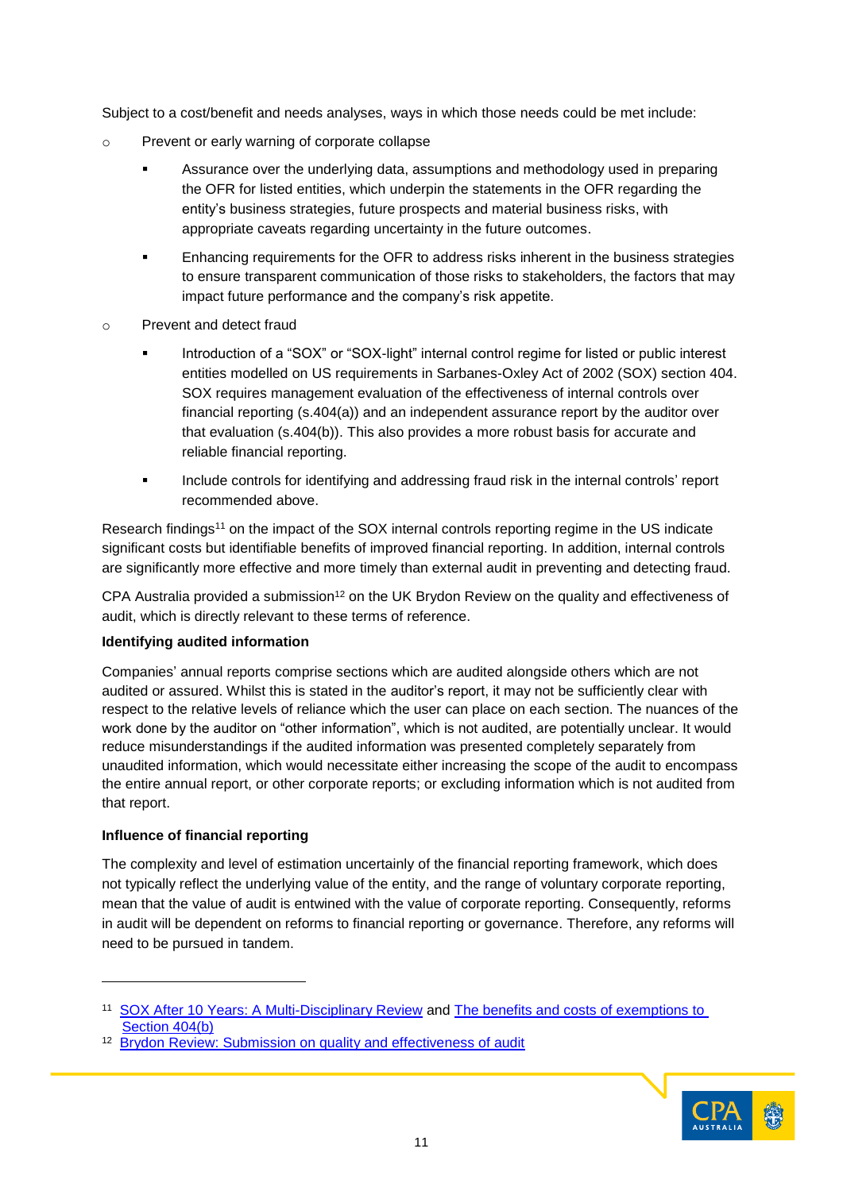Subject to a cost/benefit and needs analyses, ways in which those needs could be met include:

- o Prevent or early warning of corporate collapse
	- Assurance over the underlying data, assumptions and methodology used in preparing the OFR for listed entities, which underpin the statements in the OFR regarding the entity's business strategies, future prospects and material business risks, with appropriate caveats regarding uncertainty in the future outcomes.
	- Enhancing requirements for the OFR to address risks inherent in the business strategies to ensure transparent communication of those risks to stakeholders, the factors that may impact future performance and the company's risk appetite.
- o Prevent and detect fraud
	- Introduction of a "SOX" or "SOX-light" internal control regime for listed or public interest entities modelled on US requirements in Sarbanes-Oxley Act of 2002 (SOX) section 404. SOX requires management evaluation of the effectiveness of internal controls over financial reporting (s.404(a)) and an independent assurance report by the auditor over that evaluation (s.404(b)). This also provides a more robust basis for accurate and reliable financial reporting.
	- Include controls for identifying and addressing fraud risk in the internal controls' report recommended above.

Research findings<sup>11</sup> on the impact of the SOX internal controls reporting regime in the US indicate significant costs but identifiable benefits of improved financial reporting. In addition, internal controls are significantly more effective and more timely than external audit in preventing and detecting fraud.

CPA Australia provided a submission<sup>12</sup> on the UK Brydon Review on the quality and effectiveness of audit, [which is directly relevant to these terms of reference.](https://www.gov.uk/government/publications/the-quality-and-effectiveness-of-audit-independent-review#history)

## **Identifying audited information**

Companies' annual reports comprise sections which are audited alongside others which are not audited or assured. Whilst this is stated in the auditor's report, it may not be sufficiently clear with respect to the relative levels of reliance which the user can place on each section. The nuances of the work done by the auditor on "other information", which is not audited, are potentially unclear. It would reduce misunderstandings if the audited information was presented completely separately from unaudited information, which would necessitate either increasing the scope of the audit to encompass the entire annual report, or other corporate reports; or excluding information which is not audited from that report.

## **Influence of financial reporting**

l

The complexity and level of estimation uncertainly of the financial reporting framework, which does not typically reflect the underlying value of the entity, and the range of voluntary corporate reporting, mean that the value of audit is entwined with the value of corporate reporting. Consequently, reforms in audit will be dependent on reforms to financial reporting or governance. Therefore, any reforms will need to be pursued in tandem.



<sup>11</sup> [SOX After 10 Years: A Multi-Disciplinary Review](https://aus01.safelinks.protection.outlook.com/?url=https%3A%2F%2Faaapubs.org%2Fdoi%2F10.2308%2Facch-50759&data=02%7C01%7CClaire.Grayston%40cpaaustralia.com.au%7C2bc7413a16584e0b89aa08d74134a465%7C8d38bb39597f45b88be924005692c305%7C0%7C1%7C637049566742812730&sdata=%2F2r%2FFesVWPPvRKOcYrrTjcqN5stK%2BKGQ92HXj1U5bT8%3D&reserved=0) and [The benefits and costs of exemptions to](https://aus01.safelinks.protection.outlook.com/?url=http%3A%2F%2Ffaculty.washington.edu%2Fsmcvay%2FGKM_2017.pdf&data=02%7C01%7CClaire.Grayston%40cpaaustralia.com.au%7C2bc7413a16584e0b89aa08d74134a465%7C8d38bb39597f45b88be924005692c305%7C0%7C1%7C637049566742812730&sdata=UJj2YZjgWLPFergO1cuw3RUYGt20NhwrTOTfZ%2Fz8%2FvE%3D&reserved=0)  [Section 404\(b\)](https://aus01.safelinks.protection.outlook.com/?url=http%3A%2F%2Ffaculty.washington.edu%2Fsmcvay%2FGKM_2017.pdf&data=02%7C01%7CClaire.Grayston%40cpaaustralia.com.au%7C2bc7413a16584e0b89aa08d74134a465%7C8d38bb39597f45b88be924005692c305%7C0%7C1%7C637049566742812730&sdata=UJj2YZjgWLPFergO1cuw3RUYGt20NhwrTOTfZ%2Fz8%2FvE%3D&reserved=0)

<sup>&</sup>lt;sup>12</sup> [Brydon Review: Submission on quality and effectiveness of audit](https://www.cpaaustralia.com.au/-/media/corporate/allfiles/document/media/submissions/audit-assurance/quality-effectiveness-audit.pdf?la=en&rev=d0bf34dc343d4936aced6e425f5aabbd)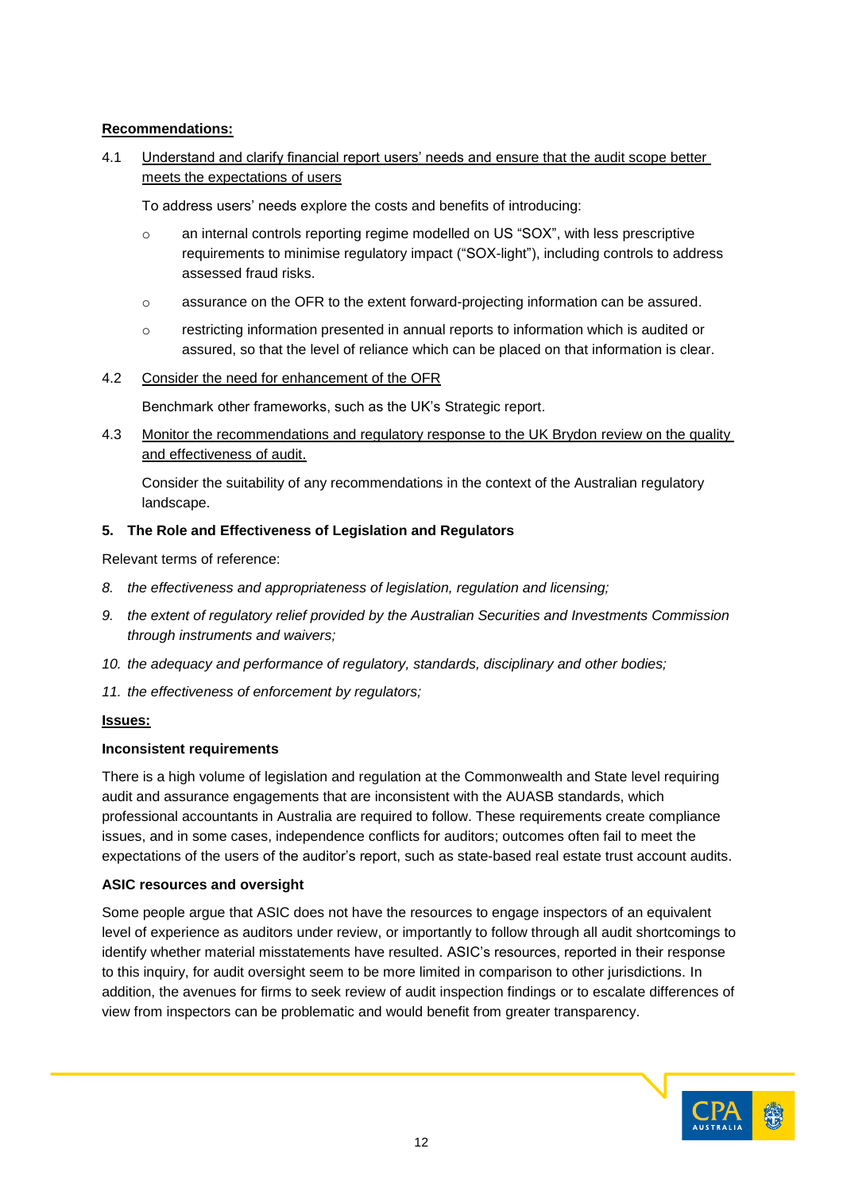# **Recommendations:**

4.1 Understand and clarify financial report users' needs and ensure that the audit scope better meets the expectations of users

To address users' needs explore the costs and benefits of introducing:

- o an internal controls reporting regime modelled on US "SOX", with less prescriptive requirements to minimise regulatory impact ("SOX-light"), including controls to address assessed fraud risks.
- o assurance on the OFR to the extent forward-projecting information can be assured.
- o restricting information presented in annual reports to information which is audited or assured, so that the level of reliance which can be placed on that information is clear.

### 4.2 Consider the need for enhancement of the OFR

Benchmark other frameworks, such as the UK's Strategic report.

4.3 Monitor the recommendations and regulatory response to the UK Brydon review on the quality and effectiveness of audit.

Consider the suitability of any recommendations in the context of the Australian regulatory landscape.

### **5. The Role and Effectiveness of Legislation and Regulators**

Relevant terms of reference:

- *8. the effectiveness and appropriateness of legislation, regulation and licensing;*
- *9. the extent of regulatory relief provided by the Australian Securities and Investments Commission through instruments and waivers;*
- *10. the adequacy and performance of regulatory, standards, disciplinary and other bodies;*
- *11. the effectiveness of enforcement by regulators;*

#### **Issues:**

#### **Inconsistent requirements**

There is a high volume of legislation and regulation at the Commonwealth and State level requiring audit and assurance engagements that are inconsistent with the AUASB standards, which professional accountants in Australia are required to follow. These requirements create compliance issues, and in some cases, independence conflicts for auditors; outcomes often fail to meet the expectations of the users of the auditor's report, such as state-based real estate trust account audits.

## **ASIC resources and oversight**

Some people argue that ASIC does not have the resources to engage inspectors of an equivalent level of experience as auditors under review, or importantly to follow through all audit shortcomings to identify whether material misstatements have resulted. ASIC's resources, reported in their response to this inquiry, for audit oversight seem to be more limited in comparison to other jurisdictions. In addition, the avenues for firms to seek review of audit inspection findings or to escalate differences of view from inspectors can be problematic and would benefit from greater transparency.